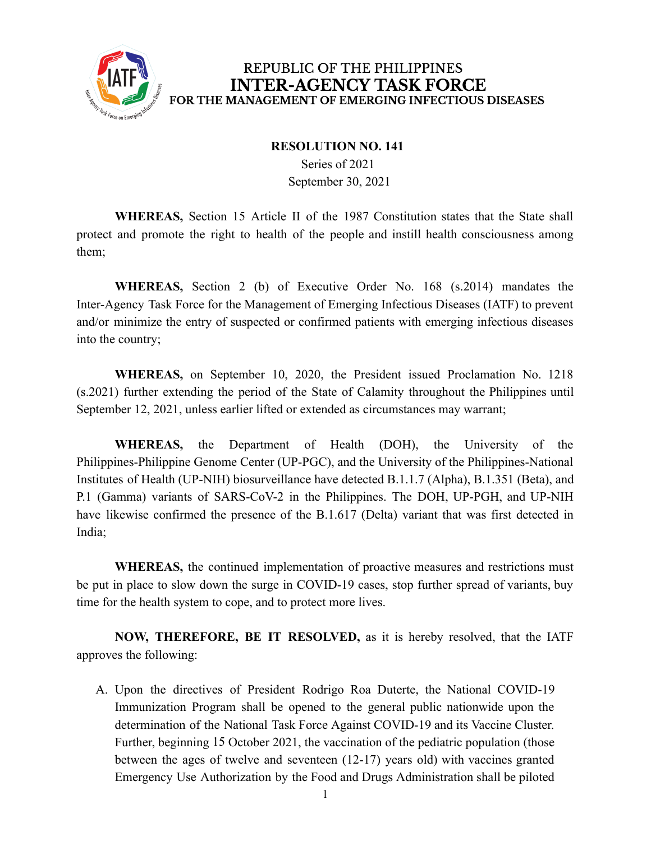

## REPUBLIC OF THE PHILIPPINES **INTER-AGENCY TASK FORCE** FOR THE MANAGEMENT OF EMERGING INFECTIOUS DISEASES

## **RESOLUTION NO. 141**

Series of 2021 September 30, 2021

**WHEREAS,** Section 15 Article II of the 1987 Constitution states that the State shall protect and promote the right to health of the people and instill health consciousness among them;

**WHEREAS,** Section 2 (b) of Executive Order No. 168 (s.2014) mandates the Inter-Agency Task Force for the Management of Emerging Infectious Diseases (IATF) to prevent and/or minimize the entry of suspected or confirmed patients with emerging infectious diseases into the country;

**WHEREAS,** on September 10, 2020, the President issued Proclamation No. 1218 (s.2021) further extending the period of the State of Calamity throughout the Philippines until September 12, 2021, unless earlier lifted or extended as circumstances may warrant;

**WHEREAS,** the Department of Health (DOH), the University of the Philippines-Philippine Genome Center (UP-PGC), and the University of the Philippines-National Institutes of Health (UP-NIH) biosurveillance have detected B.1.1.7 (Alpha), B.1.351 (Beta), and P.1 (Gamma) variants of SARS-CoV-2 in the Philippines. The DOH, UP-PGH, and UP-NIH have likewise confirmed the presence of the B.1.617 (Delta) variant that was first detected in India;

**WHEREAS,** the continued implementation of proactive measures and restrictions must be put in place to slow down the surge in COVID-19 cases, stop further spread of variants, buy time for the health system to cope, and to protect more lives.

**NOW, THEREFORE, BE IT RESOLVED,** as it is hereby resolved, that the IATF approves the following:

A. Upon the directives of President Rodrigo Roa Duterte, the National COVID-19 Immunization Program shall be opened to the general public nationwide upon the determination of the National Task Force Against COVID-19 and its Vaccine Cluster. Further, beginning 15 October 2021, the vaccination of the pediatric population (those between the ages of twelve and seventeen (12-17) years old) with vaccines granted Emergency Use Authorization by the Food and Drugs Administration shall be piloted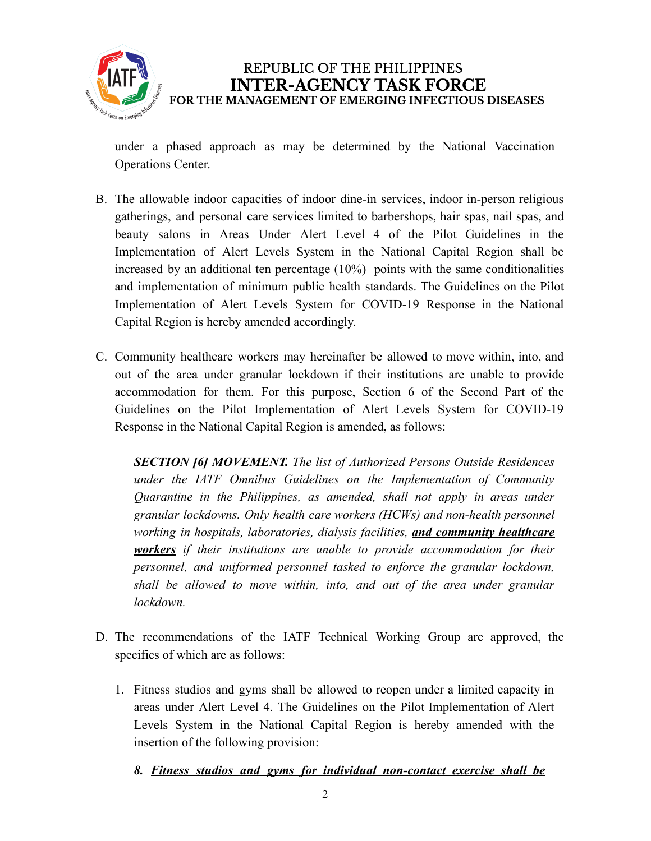

under a phased approach as may be determined by the National Vaccination Operations Center.

- B. The allowable indoor capacities of indoor dine-in services, indoor in-person religious gatherings, and personal care services limited to barbershops, hair spas, nail spas, and beauty salons in Areas Under Alert Level 4 of the Pilot Guidelines in the Implementation of Alert Levels System in the National Capital Region shall be increased by an additional ten percentage (10%) points with the same conditionalities and implementation of minimum public health standards. The Guidelines on the Pilot Implementation of Alert Levels System for COVID-19 Response in the National Capital Region is hereby amended accordingly.
- C. Community healthcare workers may hereinafter be allowed to move within, into, and out of the area under granular lockdown if their institutions are unable to provide accommodation for them. For this purpose, Section 6 of the Second Part of the Guidelines on the Pilot Implementation of Alert Levels System for COVID-19 Response in the National Capital Region is amended, as follows:

*SECTION [6] MOVEMENT. The list of Authorized Persons Outside Residences under the IATF Omnibus Guidelines on the Implementation of Community Quarantine in the Philippines, as amended, shall not apply in areas under granular lockdowns. Only health care workers (HCWs) and non-health personnel working in hospitals, laboratories, dialysis facilities, and community healthcare workers if their institutions are unable to provide accommodation for their personnel, and uniformed personnel tasked to enforce the granular lockdown, shall be allowed to move within, into, and out of the area under granular lockdown.*

- D. The recommendations of the IATF Technical Working Group are approved, the specifics of which are as follows:
	- 1. Fitness studios and gyms shall be allowed to reopen under a limited capacity in areas under Alert Level 4. The Guidelines on the Pilot Implementation of Alert Levels System in the National Capital Region is hereby amended with the insertion of the following provision:
		- *8. Fitness studios and gyms for individual non-contact exercise shall be*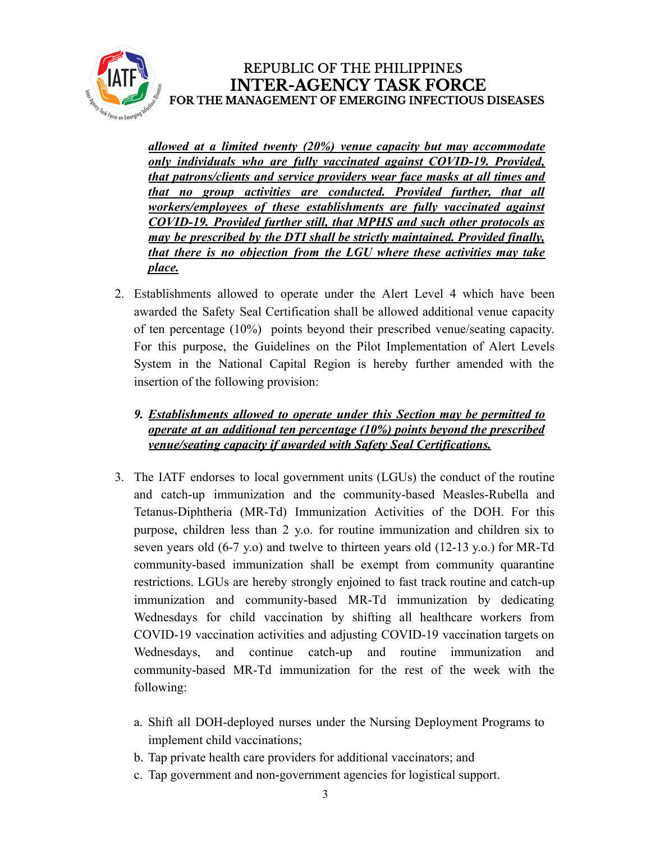

*allowed at a limited twenty (20%) venue capacity but may accommodate only individuals who are fully vaccinated against COVID-19. Provided, that patrons/clients and service providers wear face masks at all times and that no group activities are conducted. Provided further, that all workers/employees of these establishments are fully vaccinated against COVID-19. Provided further still, that MPHS and such other protocols as may be prescribed by the DTI shall be strictly maintained. Provided finally, that there is no objection from the LGU where these activities may take place.*

2. Establishments allowed to operate under the Alert Level 4 which have been awarded the Safety Seal Certification shall be allowed additional venue capacity of ten percentage (10%) points beyond their prescribed venue/seating capacity. For this purpose, the Guidelines on the Pilot Implementation of Alert Levels System in the National Capital Region is hereby further amended with the insertion of the following provision:

## *9. Establishments allowed to operate under this Section may be permitted to operate at an additional ten percentage (10%) points beyond the prescribed venue/seating capacity if awarded with Safety Seal Certifications.*

- 3. The IATF endorses to local government units (LGUs) the conduct of the routine and catch-up immunization and the community-based Measles-Rubella and Tetanus-Diphtheria (MR-Td) Immunization Activities of the DOH. For this purpose, children less than 2 y.o. for routine immunization and children six to seven years old (6-7 y.o) and twelve to thirteen years old (12-13 y.o.) for MR-Td community-based immunization shall be exempt from community quarantine restrictions. LGUs are hereby strongly enjoined to fast track routine and catch-up immunization and community-based MR-Td immunization by dedicating Wednesdays for child vaccination by shifting all healthcare workers from COVID-19 vaccination activities and adjusting COVID-19 vaccination targets on Wednesdays, and continue catch-up and routine immunization and community-based MR-Td immunization for the rest of the week with the following:
	- a. Shift all DOH-deployed nurses under the Nursing Deployment Programs to implement child vaccinations;
	- b. Tap private health care providers for additional vaccinators; and
	- c. Tap government and non-government agencies for logistical support.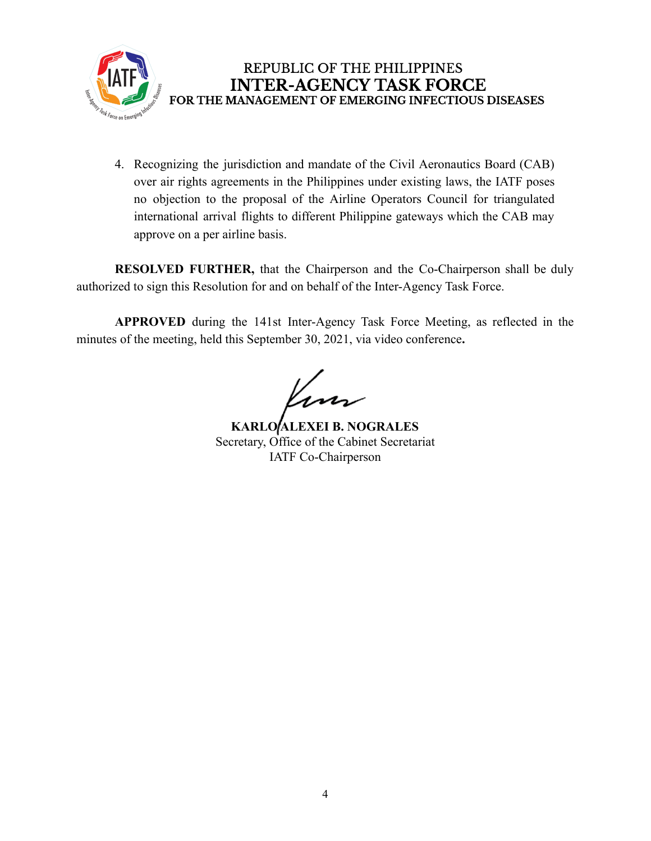

4. Recognizing the jurisdiction and mandate of the Civil Aeronautics Board (CAB) over air rights agreements in the Philippines under existing laws, the IATF poses no objection to the proposal of the Airline Operators Council for triangulated international arrival flights to different Philippine gateways which the CAB may approve on a per airline basis.

**RESOLVED FURTHER,** that the Chairperson and the Co-Chairperson shall be duly authorized to sign this Resolution for and on behalf of the Inter-Agency Task Force.

**APPROVED** during the 141st Inter-Agency Task Force Meeting, as reflected in the minutes of the meeting, held this September 30, 2021, via video conference**.**

**KARLO ALEXEI B. NOGRALES** Secretary, Office of the Cabinet Secretariat IATF Co-Chairperson